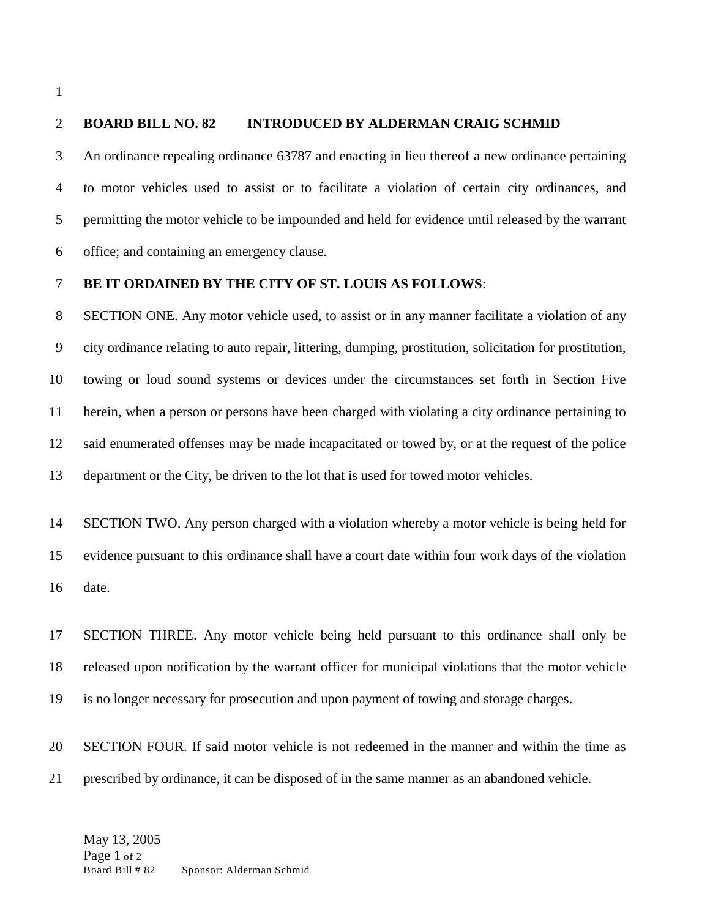## **BOARD BILL NO. 82 INTRODUCED BY ALDERMAN CRAIG SCHMID**

 An ordinance repealing ordinance 63787 and enacting in lieu thereof a new ordinance pertaining to motor vehicles used to assist or to facilitate a violation of certain city ordinances, and permitting the motor vehicle to be impounded and held for evidence until released by the warrant office; and containing an emergency clause.

## **BE IT ORDAINED BY THE CITY OF ST. LOUIS AS FOLLOWS**:

 SECTION ONE. Any motor vehicle used, to assist or in any manner facilitate a violation of any city ordinance relating to auto repair, littering, dumping, prostitution, solicitation for prostitution, towing or loud sound systems or devices under the circumstances set forth in Section Five herein, when a person or persons have been charged with violating a city ordinance pertaining to said enumerated offenses may be made incapacitated or towed by, or at the request of the police department or the City, be driven to the lot that is used for towed motor vehicles.

 SECTION TWO. Any person charged with a violation whereby a motor vehicle is being held for evidence pursuant to this ordinance shall have a court date within four work days of the violation date.

 SECTION THREE. Any motor vehicle being held pursuant to this ordinance shall only be released upon notification by the warrant officer for municipal violations that the motor vehicle is no longer necessary for prosecution and upon payment of towing and storage charges.

 SECTION FOUR. If said motor vehicle is not redeemed in the manner and within the time as prescribed by ordinance, it can be disposed of in the same manner as an abandoned vehicle.

May 13, 2005 Page 1 of 2<br>Board Bill # 82 Sponsor: Alderman Schmid